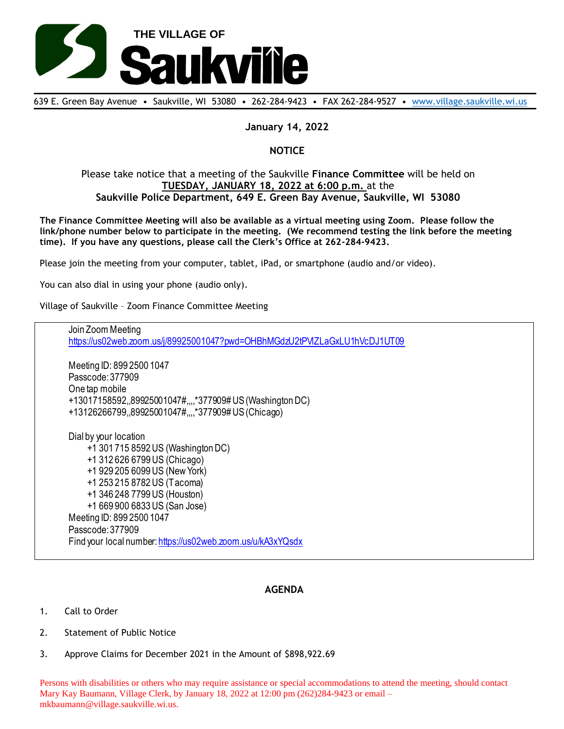

639 E. Green Bay Avenue • Saukville, WI 53080 • 262-284-9423 • FAX 262-284-9527 • [www.village.saukville.wi.us](http://www.village.saukville.wi.us/)

## **January 14, 2022**

# **NOTICE**

## Please take notice that a meeting of the Saukville **Finance Committee** will be held on **TUESDAY, JANUARY 18, 2022 at 6:00 p.m.** at the **Saukville Police Department, 649 E. Green Bay Avenue, Saukville, WI 53080**

**The Finance Committee Meeting will also be available as a virtual meeting using Zoom. Please follow the link/phone number below to participate in the meeting. (We recommend testing the link before the meeting time). If you have any questions, please call the Clerk's Office at 262-284-9423.**

Please join the meeting from your computer, tablet, iPad, or smartphone (audio and/or video).

You can also dial in using your phone (audio only).

Village of Saukville – Zoom Finance Committee Meeting

Join Zoom Meeting https://us02web.zoom.us/j/89925001047?pwd=OHBhMGdzU2tPVlZLaGxLU1hVcDJ1UT09 Meeting ID: 899 2500 1047 Passcode: 377909 One tap mobile +13017158592,,89925001047#,,,,\*377909# US (Washington DC) +13126266799,,89925001047#,,,,\*377909# US (Chicago) Dial by your location +1 301 715 8592 US (Washington DC) +1 312 626 6799 US (Chicago) +1 929 205 6099 US (New York) +1 253 215 8782 US (Tacoma) +1 346 248 7799 US (Houston) +1 669 900 6833 US (San Jose) Meeting ID: 899 2500 1047 Passcode: 377909 Find your local number: https://us02web.zoom.us/u/kA3xYQsdx

# **AGENDA**

- 1. Call to Order
- 2. Statement of Public Notice
- 3. Approve Claims for December 2021 in the Amount of \$898,922.69

Persons with disabilities or others who may require assistance or special accommodations to attend the meeting, should contact Mary Kay Baumann, Village Clerk, by January 18, 2022 at 12:00 pm (262)284-9423 or email – mkbaumann@village.saukville.wi.us.